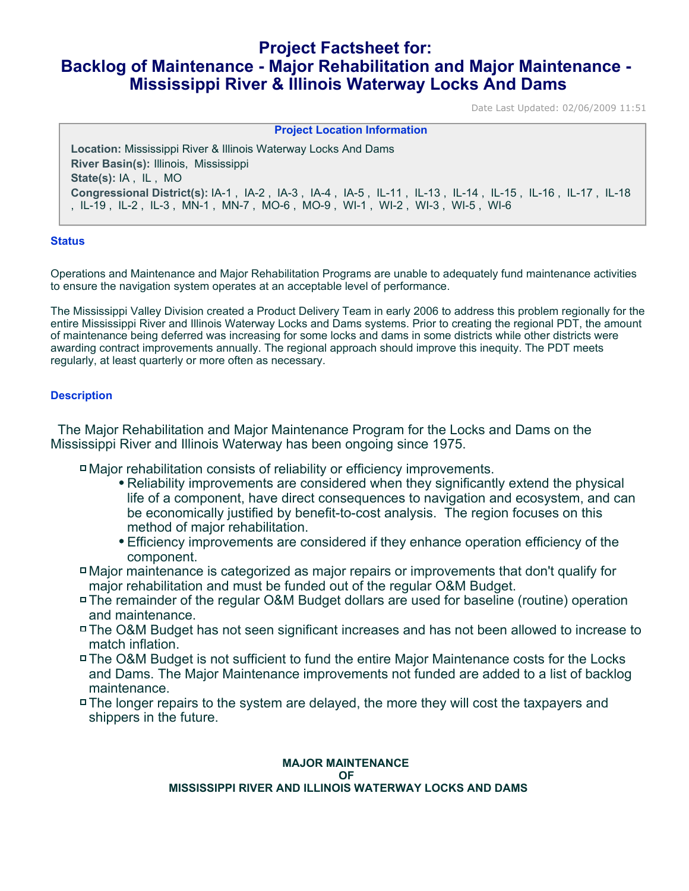# **Project Factsheet for: Backlog of Maintenance - Major Rehabilitation and Major Maintenance - Mississippi River & Illinois Waterway Locks And Dams**

Date Last Updated: 02/06/2009 11:51

| <b>Project Location Information</b>                                                                      |  |  |
|----------------------------------------------------------------------------------------------------------|--|--|
|                                                                                                          |  |  |
| <b>Location:</b> Mississippi River & Illinois Waterway Locks And Dams                                    |  |  |
| River Basin(s): Illinois, Mississippi                                                                    |  |  |
| State(s): IA, IL, MO                                                                                     |  |  |
| Congressional District(s): IA-1, IA-2, IA-3, IA-4, IA-5, IL-11, IL-13, IL-14, IL-15, IL-16, IL-17, IL-18 |  |  |
| ,IL-19,IL-2,IL-3,MN-1,MN-7,MO-6,MO-9,WI-1,WI-2,WI-3,WI-5,WI-6                                            |  |  |

## **Status**

Operations and Maintenance and Major Rehabilitation Programs are unable to adequately fund maintenance activities to ensure the navigation system operates at an acceptable level of performance.

The Mississippi Valley Division created a Product Delivery Team in early 2006 to address this problem regionally for the entire Mississippi River and Illinois Waterway Locks and Dams systems. Prior to creating the regional PDT, the amount of maintenance being deferred was increasing for some locks and dams in some districts while other districts were awarding contract improvements annually. The regional approach should improve this inequity. The PDT meets regularly, at least quarterly or more often as necessary.

## **Description**

 The Major Rehabilitation and Major Maintenance Program for the Locks and Dams on the Mississippi River and Illinois Waterway has been ongoing since 1975.

- Major rehabilitation consists of reliability or efficiency improvements.
	- Reliability improvements are considered when they significantly extend the physical life of a component, have direct consequences to navigation and ecosystem, and can be economically justified by benefit-to-cost analysis. The region focuses on this method of major rehabilitation.
	- Efficiency improvements are considered if they enhance operation efficiency of the component.
- Major maintenance is categorized as major repairs or improvements that don't qualify for major rehabilitation and must be funded out of the regular O&M Budget.
- The remainder of the regular O&M Budget dollars are used for baseline (routine) operation and maintenance.
- The O&M Budget has not seen significant increases and has not been allowed to increase to match inflation.
- The O&M Budget is not sufficient to fund the entire Major Maintenance costs for the Locks and Dams. The Major Maintenance improvements not funded are added to a list of backlog maintenance.
- The longer repairs to the system are delayed, the more they will cost the taxpayers and shippers in the future.

#### **MAJOR MAINTENANCE OF MISSISSIPPI RIVER AND ILLINOIS WATERWAY LOCKS AND DAMS**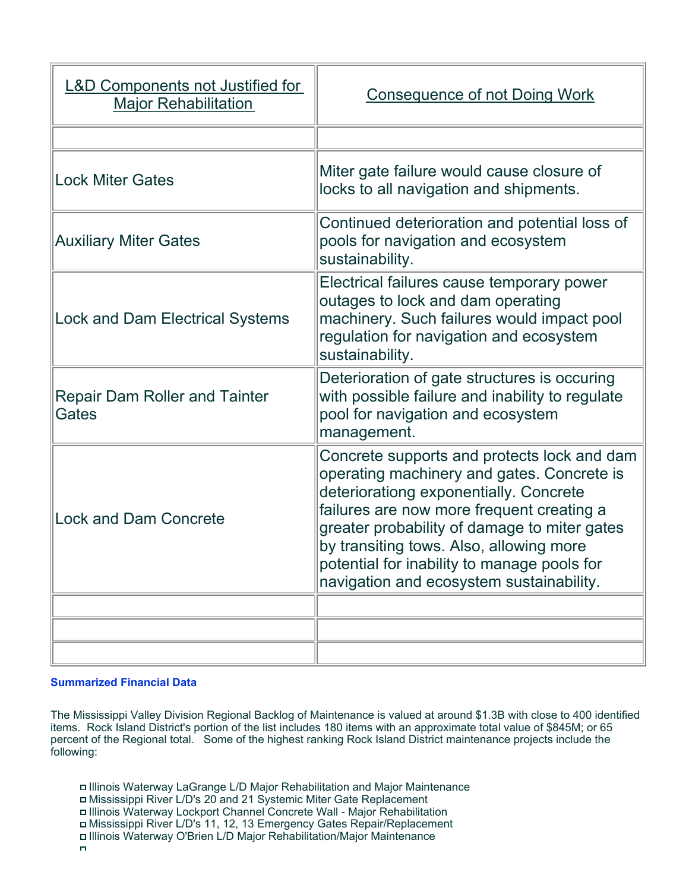| <b>L&amp;D Components not Justified for</b><br><b>Major Rehabilitation</b> | <b>Consequence of not Doing Work</b>                                                                                                                                                                                                                                                                                                                                   |
|----------------------------------------------------------------------------|------------------------------------------------------------------------------------------------------------------------------------------------------------------------------------------------------------------------------------------------------------------------------------------------------------------------------------------------------------------------|
|                                                                            |                                                                                                                                                                                                                                                                                                                                                                        |
| <b>Lock Miter Gates</b>                                                    | Miter gate failure would cause closure of<br>locks to all navigation and shipments.                                                                                                                                                                                                                                                                                    |
| <b>Auxiliary Miter Gates</b>                                               | Continued deterioration and potential loss of<br>pools for navigation and ecosystem<br>sustainability.                                                                                                                                                                                                                                                                 |
| <b>Lock and Dam Electrical Systems</b>                                     | Electrical failures cause temporary power<br>outages to lock and dam operating<br>machinery. Such failures would impact pool<br>regulation for navigation and ecosystem<br>sustainability.                                                                                                                                                                             |
| <b>Repair Dam Roller and Tainter</b><br>Gates                              | Deterioration of gate structures is occuring<br>with possible failure and inability to regulate<br>pool for navigation and ecosystem<br>management.                                                                                                                                                                                                                    |
| <b>Lock and Dam Concrete</b>                                               | Concrete supports and protects lock and dam<br>operating machinery and gates. Concrete is<br>deteriorationg exponentially. Concrete<br>failures are now more frequent creating a<br>greater probability of damage to miter gates<br>by transiting tows. Also, allowing more<br>potential for inability to manage pools for<br>navigation and ecosystem sustainability. |
|                                                                            |                                                                                                                                                                                                                                                                                                                                                                        |
|                                                                            |                                                                                                                                                                                                                                                                                                                                                                        |
|                                                                            |                                                                                                                                                                                                                                                                                                                                                                        |

# **Summarized Financial Data**

The Mississippi Valley Division Regional Backlog of Maintenance is valued at around \$1.3B with close to 400 identified items. Rock Island District's portion of the list includes 180 items with an approximate total value of \$845M; or 65 percent of the Regional total. Some of the highest ranking Rock Island District maintenance projects include the following:

- Illinois Waterway LaGrange L/D Major Rehabilitation and Major Maintenance
- Mississippi River L/D's 20 and 21 Systemic Miter Gate Replacement
- Illinois Waterway Lockport Channel Concrete Wall Major Rehabilitation
- Mississippi River L/D's 11, 12, 13 Emergency Gates Repair/Replacement
- Illinois Waterway O'Brien L/D Major Rehabilitation/Major Maintenance